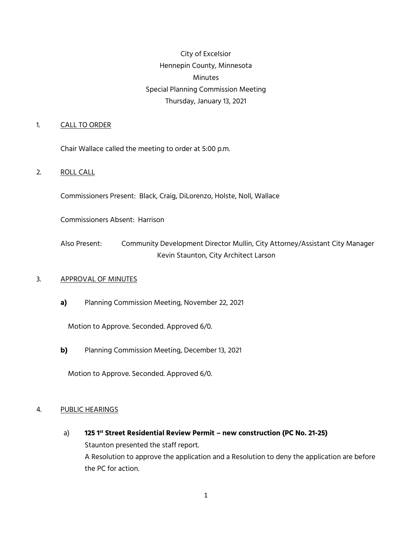# City of Excelsior Hennepin County, Minnesota Minutes Special Planning Commission Meeting Thursday, January 13, 2021

## 1. CALL TO ORDER

Chair Wallace called the meeting to order at 5:00 p.m.

## 2. ROLL CALL

Commissioners Present: Black, Craig, DiLorenzo, Holste, Noll, Wallace

Commissioners Absent: Harrison

Also Present: Community Development Director Mullin, City Attorney/Assistant City Manager Kevin Staunton, City Architect Larson

### 3. APPROVAL OF MINUTES

**a)** Planning Commission Meeting, November 22, 2021

Motion to Approve. Seconded. Approved 6/0.

**b)** Planning Commission Meeting, December 13, 2021

Motion to Approve. Seconded. Approved 6/0.

### 4. PUBLIC HEARINGS

a) **125 1st Street Residential Review Permit – new construction (PC No. 21-25)** Staunton presented the staff report. A Resolution to approve the application and a Resolution to deny the application are before the PC for action.